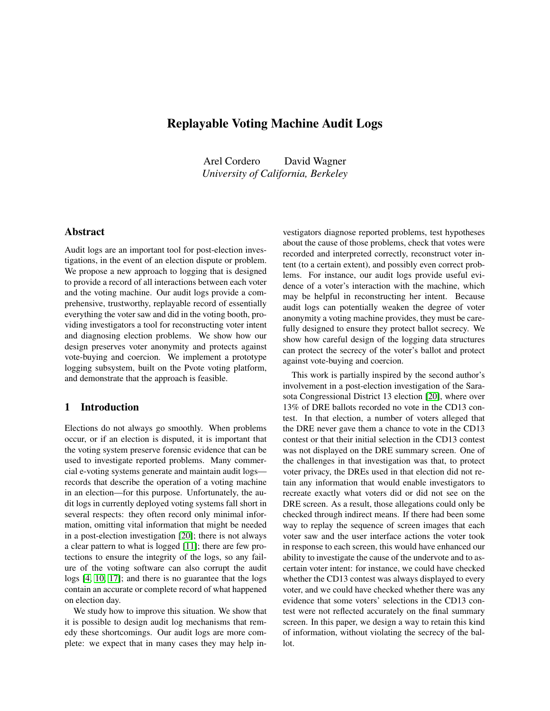# Replayable Voting Machine Audit Logs

Arel Cordero David Wagner *University of California, Berkeley*

# Abstract

Audit logs are an important tool for post-election investigations, in the event of an election dispute or problem. We propose a new approach to logging that is designed to provide a record of all interactions between each voter and the voting machine. Our audit logs provide a comprehensive, trustworthy, replayable record of essentially everything the voter saw and did in the voting booth, providing investigators a tool for reconstructing voter intent and diagnosing election problems. We show how our design preserves voter anonymity and protects against vote-buying and coercion. We implement a prototype logging subsystem, built on the Pvote voting platform, and demonstrate that the approach is feasible.

# 1 Introduction

Elections do not always go smoothly. When problems occur, or if an election is disputed, it is important that the voting system preserve forensic evidence that can be used to investigate reported problems. Many commercial e-voting systems generate and maintain audit logs records that describe the operation of a voting machine in an election—for this purpose. Unfortunately, the audit logs in currently deployed voting systems fall short in several respects: they often record only minimal information, omitting vital information that might be needed in a post-election investigation [\[20\]](#page-13-0); there is not always a clear pattern to what is logged [\[11\]](#page-13-1); there are few protections to ensure the integrity of the logs, so any failure of the voting software can also corrupt the audit logs [\[4,](#page-13-2) [10,](#page-13-3) [17\]](#page-13-4); and there is no guarantee that the logs contain an accurate or complete record of what happened on election day.

We study how to improve this situation. We show that it is possible to design audit log mechanisms that remedy these shortcomings. Our audit logs are more complete: we expect that in many cases they may help investigators diagnose reported problems, test hypotheses about the cause of those problems, check that votes were recorded and interpreted correctly, reconstruct voter intent (to a certain extent), and possibly even correct problems. For instance, our audit logs provide useful evidence of a voter's interaction with the machine, which may be helpful in reconstructing her intent. Because audit logs can potentially weaken the degree of voter anonymity a voting machine provides, they must be carefully designed to ensure they protect ballot secrecy. We show how careful design of the logging data structures can protect the secrecy of the voter's ballot and protect against vote-buying and coercion.

This work is partially inspired by the second author's involvement in a post-election investigation of the Sarasota Congressional District 13 election [\[20\]](#page-13-0), where over 13% of DRE ballots recorded no vote in the CD13 contest. In that election, a number of voters alleged that the DRE never gave them a chance to vote in the CD13 contest or that their initial selection in the CD13 contest was not displayed on the DRE summary screen. One of the challenges in that investigation was that, to protect voter privacy, the DREs used in that election did not retain any information that would enable investigators to recreate exactly what voters did or did not see on the DRE screen. As a result, those allegations could only be checked through indirect means. If there had been some way to replay the sequence of screen images that each voter saw and the user interface actions the voter took in response to each screen, this would have enhanced our ability to investigate the cause of the undervote and to ascertain voter intent: for instance, we could have checked whether the CD13 contest was always displayed to every voter, and we could have checked whether there was any evidence that some voters' selections in the CD13 contest were not reflected accurately on the final summary screen. In this paper, we design a way to retain this kind of information, without violating the secrecy of the ballot.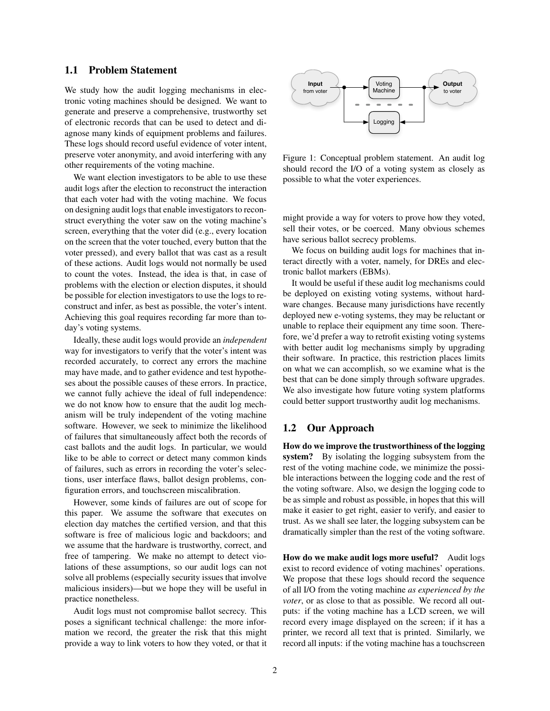# 1.1 Problem Statement

We study how the audit logging mechanisms in electronic voting machines should be designed. We want to generate and preserve a comprehensive, trustworthy set of electronic records that can be used to detect and diagnose many kinds of equipment problems and failures. These logs should record useful evidence of voter intent, preserve voter anonymity, and avoid interfering with any other requirements of the voting machine.

We want election investigators to be able to use these audit logs after the election to reconstruct the interaction that each voter had with the voting machine. We focus on designing audit logs that enable investigators to reconstruct everything the voter saw on the voting machine's screen, everything that the voter did (e.g., every location on the screen that the voter touched, every button that the voter pressed), and every ballot that was cast as a result of these actions. Audit logs would not normally be used to count the votes. Instead, the idea is that, in case of problems with the election or election disputes, it should be possible for election investigators to use the logs to reconstruct and infer, as best as possible, the voter's intent. Achieving this goal requires recording far more than today's voting systems.

Ideally, these audit logs would provide an *independent* way for investigators to verify that the voter's intent was recorded accurately, to correct any errors the machine may have made, and to gather evidence and test hypotheses about the possible causes of these errors. In practice, we cannot fully achieve the ideal of full independence: we do not know how to ensure that the audit log mechanism will be truly independent of the voting machine software. However, we seek to minimize the likelihood of failures that simultaneously affect both the records of cast ballots and the audit logs. In particular, we would like to be able to correct or detect many common kinds of failures, such as errors in recording the voter's selections, user interface flaws, ballot design problems, configuration errors, and touchscreen miscalibration.

However, some kinds of failures are out of scope for this paper. We assume the software that executes on election day matches the certified version, and that this software is free of malicious logic and backdoors; and we assume that the hardware is trustworthy, correct, and free of tampering. We make no attempt to detect violations of these assumptions, so our audit logs can not solve all problems (especially security issues that involve malicious insiders)—but we hope they will be useful in practice nonetheless.

Audit logs must not compromise ballot secrecy. This poses a significant technical challenge: the more information we record, the greater the risk that this might provide a way to link voters to how they voted, or that it



Figure 1: Conceptual problem statement. An audit log should record the I/O of a voting system as closely as possible to what the voter experiences.

might provide a way for voters to prove how they voted, sell their votes, or be coerced. Many obvious schemes have serious ballot secrecy problems.

We focus on building audit logs for machines that interact directly with a voter, namely, for DREs and electronic ballot markers (EBMs).

It would be useful if these audit log mechanisms could be deployed on existing voting systems, without hardware changes. Because many jurisdictions have recently deployed new e-voting systems, they may be reluctant or unable to replace their equipment any time soon. Therefore, we'd prefer a way to retrofit existing voting systems with better audit log mechanisms simply by upgrading their software. In practice, this restriction places limits on what we can accomplish, so we examine what is the best that can be done simply through software upgrades. We also investigate how future voting system platforms could better support trustworthy audit log mechanisms.

### 1.2 Our Approach

How do we improve the trustworthiness of the logging system? By isolating the logging subsystem from the rest of the voting machine code, we minimize the possible interactions between the logging code and the rest of the voting software. Also, we design the logging code to be as simple and robust as possible, in hopes that this will make it easier to get right, easier to verify, and easier to trust. As we shall see later, the logging subsystem can be dramatically simpler than the rest of the voting software.

<span id="page-1-0"></span>How do we make audit logs more useful? Audit logs exist to record evidence of voting machines' operations. We propose that these logs should record the sequence of all I/O from the voting machine *as experienced by the voter*, or as close to that as possible. We record all outputs: if the voting machine has a LCD screen, we will record every image displayed on the screen; if it has a printer, we record all text that is printed. Similarly, we record all inputs: if the voting machine has a touchscreen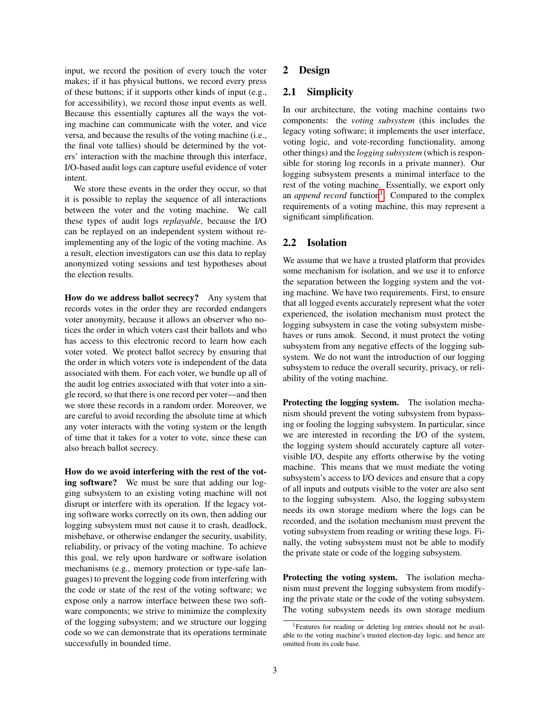input, we record the position of every touch the voter makes; if it has physical buttons, we record every press of these buttons; if it supports other kinds of input (e.g., for accessibility), we record those input events as well. Because this essentially captures all the ways the voting machine can communicate with the voter, and vice versa, and because the results of the voting machine (i.e., the final vote tallies) should be determined by the voters' interaction with the machine through this interface, I/O-based audit logs can capture useful evidence of voter intent.

We store these events in the order they occur, so that it is possible to replay the sequence of all interactions between the voter and the voting machine. We call these types of audit logs *replayable*, because the I/O can be replayed on an independent system without reimplementing any of the logic of the voting machine. As a result, election investigators can use this data to replay anonymized voting sessions and test hypotheses about the election results.

How do we address ballot secrecy? Any system that records votes in the order they are recorded endangers voter anonymity, because it allows an observer who notices the order in which voters cast their ballots and who has access to this electronic record to learn how each voter voted. We protect ballot secrecy by ensuring that the order in which voters vote is independent of the data associated with them. For each voter, we bundle up all of the audit log entries associated with that voter into a single record, so that there is one record per voter—and then we store these records in a random order. Moreover, we are careful to avoid recording the absolute time at which any voter interacts with the voting system or the length of time that it takes for a voter to vote, since these can also breach ballot secrecy.

How do we avoid interfering with the rest of the voting software? We must be sure that adding our logging subsystem to an existing voting machine will not disrupt or interfere with its operation. If the legacy voting software works correctly on its own, then adding our logging subsystem must not cause it to crash, deadlock, misbehave, or otherwise endanger the security, usability, reliability, or privacy of the voting machine. To achieve this goal, we rely upon hardware or software isolation mechanisms (e.g., memory protection or type-safe languages) to prevent the logging code from interfering with the code or state of the rest of the voting software; we expose only a narrow interface between these two software components; we strive to minimize the complexity of the logging subsystem; and we structure our logging code so we can demonstrate that its operations terminate successfully in bounded time.

# 2 Design

# 2.1 Simplicity

In our architecture, the voting machine contains two components: the *voting subsystem* (this includes the legacy voting software; it implements the user interface, voting logic, and vote-recording functionality, among other things) and the *logging subsystem* (which is responsible for storing log records in a private manner). Our logging subsystem presents a minimal interface to the rest of the voting machine. Essentially, we export only an *append record* function<sup>[1](#page-2-0)</sup>. Compared to the complex requirements of a voting machine, this may represent a significant simplification.

# 2.2 Isolation

We assume that we have a trusted platform that provides some mechanism for isolation, and we use it to enforce the separation between the logging system and the voting machine. We have two requirements. First, to ensure that all logged events accurately represent what the voter experienced, the isolation mechanism must protect the logging subsystem in case the voting subsystem misbehaves or runs amok. Second, it must protect the voting subsystem from any negative effects of the logging subsystem. We do not want the introduction of our logging subsystem to reduce the overall security, privacy, or reliability of the voting machine.

Protecting the logging system. The isolation mechanism should prevent the voting subsystem from bypassing or fooling the logging subsystem. In particular, since we are interested in recording the I/O of the system, the logging system should accurately capture all votervisible I/O, despite any efforts otherwise by the voting machine. This means that we must mediate the voting subsystem's access to I/O devices and ensure that a copy of all inputs and outputs visible to the voter are also sent to the logging subsystem. Also, the logging subsystem needs its own storage medium where the logs can be recorded, and the isolation mechanism must prevent the voting subsystem from reading or writing these logs. Finally, the voting subsystem must not be able to modify the private state or code of the logging subsystem.

Protecting the voting system. The isolation mechanism must prevent the logging subsystem from modifying the private state or the code of the voting subsystem. The voting subsystem needs its own storage medium

<span id="page-2-0"></span><sup>&</sup>lt;sup>1</sup>Features for reading or deleting log entries should not be available to the voting machine's trusted election-day logic, and hence are omitted from its code base.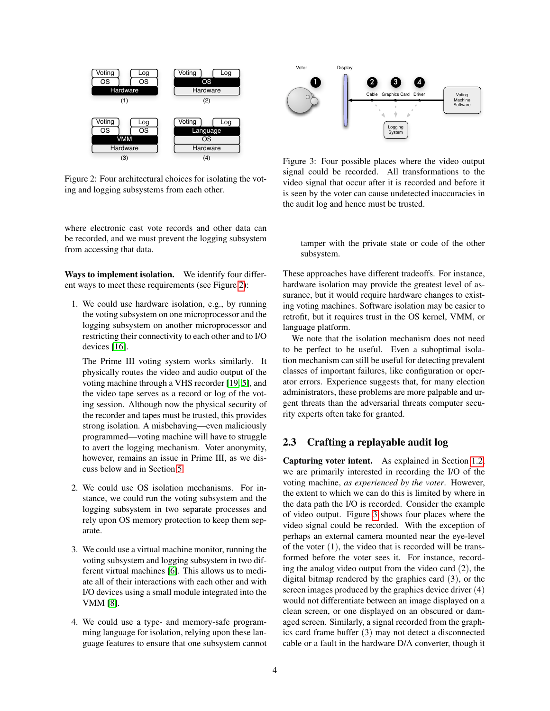

<span id="page-3-0"></span>Figure 2: Four architectural choices for isolating the voting and logging subsystems from each other.

where electronic cast vote records and other data can be recorded, and we must prevent the logging subsystem from accessing that data.

Ways to implement isolation. We identify four different ways to meet these requirements (see Figure [2\)](#page-3-0):

1. We could use hardware isolation, e.g., by running the voting subsystem on one microprocessor and the logging subsystem on another microprocessor and restricting their connectivity to each other and to I/O devices [\[16\]](#page-13-5).

The Prime III voting system works similarly. It physically routes the video and audio output of the voting machine through a VHS recorder [\[19,](#page-13-6) [5\]](#page-13-7), and the video tape serves as a record or log of the voting session. Although now the physical security of the recorder and tapes must be trusted, this provides strong isolation. A misbehaving—even maliciously programmed—voting machine will have to struggle to avert the logging mechanism. Voter anonymity, however, remains an issue in Prime III, as we discuss below and in Section [5.](#page-12-0)

- 2. We could use OS isolation mechanisms. For instance, we could run the voting subsystem and the logging subsystem in two separate processes and rely upon OS memory protection to keep them separate.
- 3. We could use a virtual machine monitor, running the voting subsystem and logging subsystem in two different virtual machines [\[6\]](#page-13-8). This allows us to mediate all of their interactions with each other and with I/O devices using a small module integrated into the VMM [\[8\]](#page-13-9).
- 4. We could use a type- and memory-safe programming language for isolation, relying upon these language features to ensure that one subsystem cannot



<span id="page-3-1"></span>Figure 3: Four possible places where the video output signal could be recorded. All transformations to the video signal that occur after it is recorded and before it is seen by the voter can cause undetected inaccuracies in the audit log and hence must be trusted.

tamper with the private state or code of the other subsystem.

These approaches have different tradeoffs. For instance, hardware isolation may provide the greatest level of assurance, but it would require hardware changes to existing voting machines. Software isolation may be easier to retrofit, but it requires trust in the OS kernel, VMM, or language platform.

We note that the isolation mechanism does not need to be perfect to be useful. Even a suboptimal isolation mechanism can still be useful for detecting prevalent classes of important failures, like configuration or operator errors. Experience suggests that, for many election administrators, these problems are more palpable and urgent threats than the adversarial threats computer security experts often take for granted.

### 2.3 Crafting a replayable audit log

Capturing voter intent. As explained in Section [1.2,](#page-1-0) we are primarily interested in recording the I/O of the voting machine, *as experienced by the voter*. However, the extent to which we can do this is limited by where in the data path the I/O is recorded. Consider the example of video output. Figure [3](#page-3-1) shows four places where the video signal could be recorded. With the exception of perhaps an external camera mounted near the eye-level of the voter (1), the video that is recorded will be transformed before the voter sees it. For instance, recording the analog video output from the video card (2), the digital bitmap rendered by the graphics card (3), or the screen images produced by the graphics device driver (4) would not differentiate between an image displayed on a clean screen, or one displayed on an obscured or damaged screen. Similarly, a signal recorded from the graphics card frame buffer (3) may not detect a disconnected cable or a fault in the hardware D/A converter, though it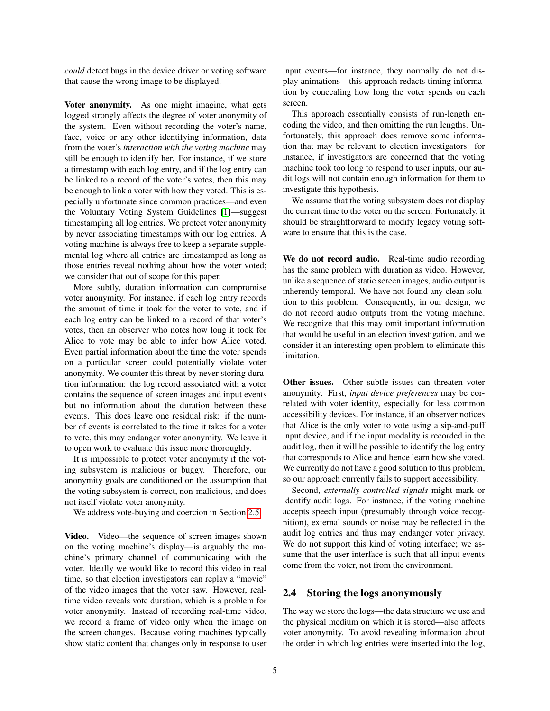*could* detect bugs in the device driver or voting software that cause the wrong image to be displayed.

Voter anonymity. As one might imagine, what gets logged strongly affects the degree of voter anonymity of the system. Even without recording the voter's name, face, voice or any other identifying information, data from the voter's *interaction with the voting machine* may still be enough to identify her. For instance, if we store a timestamp with each log entry, and if the log entry can be linked to a record of the voter's votes, then this may be enough to link a voter with how they voted. This is especially unfortunate since common practices—and even the Voluntary Voting System Guidelines [\[1\]](#page-13-10)—suggest timestamping all log entries. We protect voter anonymity by never associating timestamps with our log entries. A voting machine is always free to keep a separate supplemental log where all entries are timestamped as long as those entries reveal nothing about how the voter voted; we consider that out of scope for this paper.

More subtly, duration information can compromise voter anonymity. For instance, if each log entry records the amount of time it took for the voter to vote, and if each log entry can be linked to a record of that voter's votes, then an observer who notes how long it took for Alice to vote may be able to infer how Alice voted. Even partial information about the time the voter spends on a particular screen could potentially violate voter anonymity. We counter this threat by never storing duration information: the log record associated with a voter contains the sequence of screen images and input events but no information about the duration between these events. This does leave one residual risk: if the number of events is correlated to the time it takes for a voter to vote, this may endanger voter anonymity. We leave it to open work to evaluate this issue more thoroughly.

It is impossible to protect voter anonymity if the voting subsystem is malicious or buggy. Therefore, our anonymity goals are conditioned on the assumption that the voting subsystem is correct, non-malicious, and does not itself violate voter anonymity.

We address vote-buying and coercion in Section [2.5.](#page-5-0)

<span id="page-4-0"></span>Video. Video—the sequence of screen images shown on the voting machine's display—is arguably the machine's primary channel of communicating with the voter. Ideally we would like to record this video in real time, so that election investigators can replay a "movie" of the video images that the voter saw. However, realtime video reveals vote duration, which is a problem for voter anonymity. Instead of recording real-time video, we record a frame of video only when the image on the screen changes. Because voting machines typically show static content that changes only in response to user input events—for instance, they normally do not display animations—this approach redacts timing information by concealing how long the voter spends on each screen.

This approach essentially consists of run-length encoding the video, and then omitting the run lengths. Unfortunately, this approach does remove some information that may be relevant to election investigators: for instance, if investigators are concerned that the voting machine took too long to respond to user inputs, our audit logs will not contain enough information for them to investigate this hypothesis.

We assume that the voting subsystem does not display the current time to the voter on the screen. Fortunately, it should be straightforward to modify legacy voting software to ensure that this is the case.

We do not record audio. Real-time audio recording has the same problem with duration as video. However, unlike a sequence of static screen images, audio output is inherently temporal. We have not found any clean solution to this problem. Consequently, in our design, we do not record audio outputs from the voting machine. We recognize that this may omit important information that would be useful in an election investigation, and we consider it an interesting open problem to eliminate this limitation.

Other issues. Other subtle issues can threaten voter anonymity. First, *input device preferences* may be correlated with voter identity, especially for less common accessibility devices. For instance, if an observer notices that Alice is the only voter to vote using a sip-and-puff input device, and if the input modality is recorded in the audit log, then it will be possible to identify the log entry that corresponds to Alice and hence learn how she voted. We currently do not have a good solution to this problem, so our approach currently fails to support accessibility.

Second, *externally controlled signals* might mark or identify audit logs. For instance, if the voting machine accepts speech input (presumably through voice recognition), external sounds or noise may be reflected in the audit log entries and thus may endanger voter privacy. We do not support this kind of voting interface; we assume that the user interface is such that all input events come from the voter, not from the environment.

# <span id="page-4-1"></span>2.4 Storing the logs anonymously

The way we store the logs—the data structure we use and the physical medium on which it is stored—also affects voter anonymity. To avoid revealing information about the order in which log entries were inserted into the log,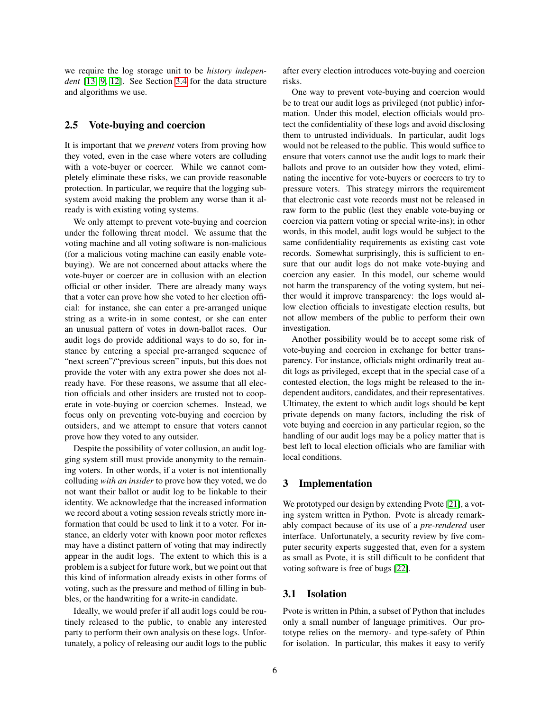we require the log storage unit to be *history independent* [\[13,](#page-13-11) [9,](#page-13-12) [12\]](#page-13-13). See Section [3.4](#page-6-0) for the data structure and algorithms we use.

### <span id="page-5-0"></span>2.5 Vote-buying and coercion

It is important that we *prevent* voters from proving how they voted, even in the case where voters are colluding with a vote-buyer or coercer. While we cannot completely eliminate these risks, we can provide reasonable protection. In particular, we require that the logging subsystem avoid making the problem any worse than it already is with existing voting systems.

We only attempt to prevent vote-buying and coercion under the following threat model. We assume that the voting machine and all voting software is non-malicious (for a malicious voting machine can easily enable votebuying). We are not concerned about attacks where the vote-buyer or coercer are in collusion with an election official or other insider. There are already many ways that a voter can prove how she voted to her election official: for instance, she can enter a pre-arranged unique string as a write-in in some contest, or she can enter an unusual pattern of votes in down-ballot races. Our audit logs do provide additional ways to do so, for instance by entering a special pre-arranged sequence of "next screen"/"previous screen" inputs, but this does not provide the voter with any extra power she does not already have. For these reasons, we assume that all election officials and other insiders are trusted not to cooperate in vote-buying or coercion schemes. Instead, we focus only on preventing vote-buying and coercion by outsiders, and we attempt to ensure that voters cannot prove how they voted to any outsider.

Despite the possibility of voter collusion, an audit logging system still must provide anonymity to the remaining voters. In other words, if a voter is not intentionally colluding *with an insider* to prove how they voted, we do not want their ballot or audit log to be linkable to their identity. We acknowledge that the increased information we record about a voting session reveals strictly more information that could be used to link it to a voter. For instance, an elderly voter with known poor motor reflexes may have a distinct pattern of voting that may indirectly appear in the audit logs. The extent to which this is a problem is a subject for future work, but we point out that this kind of information already exists in other forms of voting, such as the pressure and method of filling in bubbles, or the handwriting for a write-in candidate.

Ideally, we would prefer if all audit logs could be routinely released to the public, to enable any interested party to perform their own analysis on these logs. Unfortunately, a policy of releasing our audit logs to the public after every election introduces vote-buying and coercion risks.

One way to prevent vote-buying and coercion would be to treat our audit logs as privileged (not public) information. Under this model, election officials would protect the confidentiality of these logs and avoid disclosing them to untrusted individuals. In particular, audit logs would not be released to the public. This would suffice to ensure that voters cannot use the audit logs to mark their ballots and prove to an outsider how they voted, eliminating the incentive for vote-buyers or coercers to try to pressure voters. This strategy mirrors the requirement that electronic cast vote records must not be released in raw form to the public (lest they enable vote-buying or coercion via pattern voting or special write-ins); in other words, in this model, audit logs would be subject to the same confidentiality requirements as existing cast vote records. Somewhat surprisingly, this is sufficient to ensure that our audit logs do not make vote-buying and coercion any easier. In this model, our scheme would not harm the transparency of the voting system, but neither would it improve transparency: the logs would allow election officials to investigate election results, but not allow members of the public to perform their own investigation.

Another possibility would be to accept some risk of vote-buying and coercion in exchange for better transparency. For instance, officials might ordinarily treat audit logs as privileged, except that in the special case of a contested election, the logs might be released to the independent auditors, candidates, and their representatives. Ultimatey, the extent to which audit logs should be kept private depends on many factors, including the risk of vote buying and coercion in any particular region, so the handling of our audit logs may be a policy matter that is best left to local election officials who are familiar with local conditions.

### 3 Implementation

We prototyped our design by extending Pvote [\[21\]](#page-13-14), a voting system written in Python. Pvote is already remarkably compact because of its use of a *pre-rendered* user interface. Unfortunately, a security review by five computer security experts suggested that, even for a system as small as Pvote, it is still difficult to be confident that voting software is free of bugs [\[22\]](#page-13-15).

### 3.1 Isolation

Pvote is written in Pthin, a subset of Python that includes only a small number of language primitives. Our prototype relies on the memory- and type-safety of Pthin for isolation. In particular, this makes it easy to verify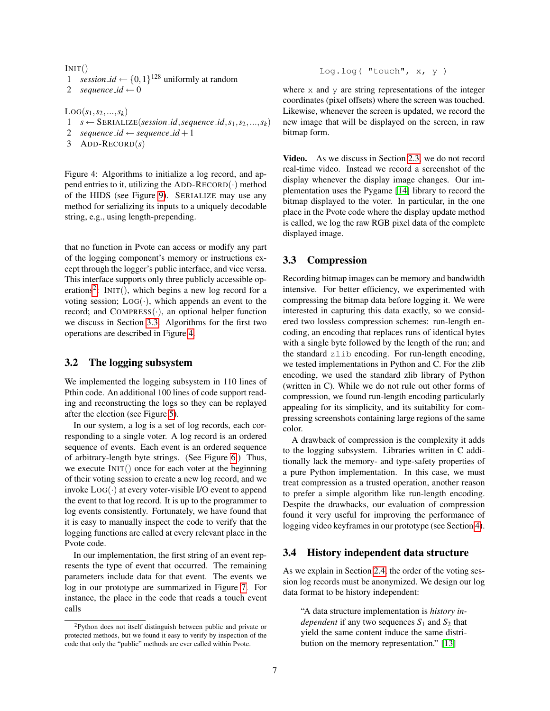### $INT()$

1 *session\_id*  $\leftarrow$  {0,1}<sup>128</sup> uniformly at random

2 *sequence*  $id \leftarrow 0$ 

 $LOG(s_1, s_2, ..., s_k)$ 1  $s \leftarrow$  SERIALIZE(*session\_id*, *sequence\_id*,  $s_1, s_2, ..., s_k$ ) 2 *sequence\_id*  $\leftarrow$  *sequence\_id* + 1

3 ADD-RECORD(*s*)

<span id="page-6-3"></span>Figure 4: Algorithms to initialize a log record, and append entries to it, utilizing the ADD-RECORD $(\cdot)$  method of the HIDS (see Figure [9\)](#page-8-0). SERIALIZE may use any method for serializing its inputs to a uniquely decodable string, e.g., using length-prepending.

that no function in Pvote can access or modify any part of the logging component's memory or instructions except through the logger's public interface, and vice versa. This interface supports only three publicly accessible op-erations<sup>[2](#page-6-1)</sup>: INIT(), which begins a new log record for a voting session;  $LOG(\cdot)$ , which appends an event to the record; and  $COMPRESS(\cdot)$ , an optional helper function we discuss in Section [3.3.](#page-6-2) Algorithms for the first two operations are described in Figure [4.](#page-6-3)

### 3.2 The logging subsystem

We implemented the logging subsystem in 110 lines of Pthin code. An additional 100 lines of code support reading and reconstructing the logs so they can be replayed after the election (see Figure [5\)](#page-7-0).

In our system, a log is a set of log records, each corresponding to a single voter. A log record is an ordered sequence of events. Each event is an ordered sequence of arbitrary-length byte strings. (See Figure [6.](#page-7-1)) Thus, we execute INIT() once for each voter at the beginning of their voting session to create a new log record, and we invoke  $Log(\cdot)$  at every voter-visible I/O event to append the event to that log record. It is up to the programmer to log events consistently. Fortunately, we have found that it is easy to manually inspect the code to verify that the logging functions are called at every relevant place in the Pvote code.

In our implementation, the first string of an event represents the type of event that occurred. The remaining parameters include data for that event. The events we log in our prototype are summarized in Figure [7.](#page-7-2) For instance, the place in the code that reads a touch event calls

Log.log( "touch", x, y )

where  $x$  and  $y$  are string representations of the integer coordinates (pixel offsets) where the screen was touched. Likewise, whenever the screen is updated, we record the new image that will be displayed on the screen, in raw bitmap form.

Video. As we discuss in Section [2.3,](#page-4-0) we do not record real-time video. Instead we record a screenshot of the display whenever the display image changes. Our implementation uses the Pygame [\[14\]](#page-13-16) library to record the bitmap displayed to the voter. In particular, in the one place in the Pvote code where the display update method is called, we log the raw RGB pixel data of the complete displayed image.

# <span id="page-6-2"></span>3.3 Compression

Recording bitmap images can be memory and bandwidth intensive. For better efficiency, we experimented with compressing the bitmap data before logging it. We were interested in capturing this data exactly, so we considered two lossless compression schemes: run-length encoding, an encoding that replaces runs of identical bytes with a single byte followed by the length of the run; and the standard zlib encoding. For run-length encoding, we tested implementations in Python and C. For the zlib encoding, we used the standard zlib library of Python (written in C). While we do not rule out other forms of compression, we found run-length encoding particularly appealing for its simplicity, and its suitability for compressing screenshots containing large regions of the same color.

A drawback of compression is the complexity it adds to the logging subsystem. Libraries written in C additionally lack the memory- and type-safety properties of a pure Python implementation. In this case, we must treat compression as a trusted operation, another reason to prefer a simple algorithm like run-length encoding. Despite the drawbacks, our evaluation of compression found it very useful for improving the performance of logging video keyframes in our prototype (see Section [4\)](#page-10-0).

### <span id="page-6-0"></span>3.4 History independent data structure

As we explain in Section [2.4,](#page-4-1) the order of the voting session log records must be anonymized. We design our log data format to be history independent:

"A data structure implementation is *history independent* if any two sequences  $S_1$  and  $S_2$  that yield the same content induce the same distribution on the memory representation." [\[13\]](#page-13-11)

<span id="page-6-1"></span><sup>2</sup>Python does not itself distinguish between public and private or protected methods, but we found it easy to verify by inspection of the code that only the "public" methods are ever called within Pvote.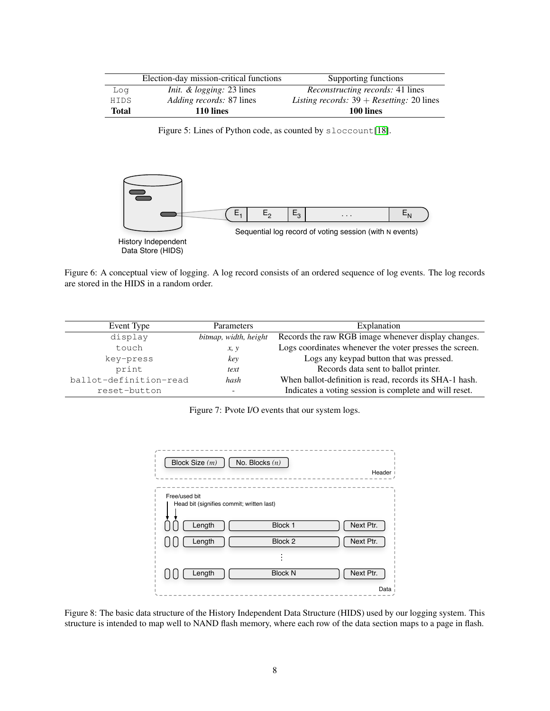|             | Election-day mission-critical functions | Supporting functions                        |
|-------------|-----------------------------------------|---------------------------------------------|
| Log         | <i>Init. &amp; logging:</i> 23 lines    | <i>Reconstructing records:</i> 41 lines     |
| <b>HIDS</b> | <i>Adding records: 87 lines</i>         | Listing records: $39 +$ Resetting: 20 lines |
| Total       | 110 lines                               | 100 lines                                   |

<span id="page-7-0"></span>Figure 5: Lines of Python code, as counted by sloccount[\[18\]](#page-13-17).



<span id="page-7-1"></span>Figure 6: A conceptual view of logging. A log record consists of an ordered sequence of log events. The log records are stored in the HIDS in a random order.

| Event Type             | Parameters            | Explanation                                             |  |
|------------------------|-----------------------|---------------------------------------------------------|--|
| display                | bitmap, width, height | Records the raw RGB image whenever display changes.     |  |
| touch                  | x, y                  | Logs coordinates whenever the voter presses the screen. |  |
| key-press              | key                   | Logs any keypad button that was pressed.                |  |
| print                  | text                  | Records data sent to ballot printer.                    |  |
| ballot-definition-read | hash                  | When ballot-definition is read, records its SHA-1 hash. |  |
| reset-button           |                       | Indicates a voting session is complete and will reset.  |  |

<span id="page-7-2"></span>Figure 7: Pvote I/O events that our system logs.

| No. Blocks $(n)$<br>Block Size (m)                         | Header                      |
|------------------------------------------------------------|-----------------------------|
| Free/used bit<br>Head bit (signifies commit; written last) |                             |
| Length                                                     | Next Ptr.<br>Block 1        |
| Length                                                     | Next Ptr.<br>Block 2        |
|                                                            |                             |
| Length                                                     | Next Ptr.<br><b>Block N</b> |
|                                                            | Data                        |

<span id="page-7-3"></span>Figure 8: The basic data structure of the History Independent Data Structure (HIDS) used by our logging system. This structure is intended to map well to NAND flash memory, where each row of the data section maps to a page in flash.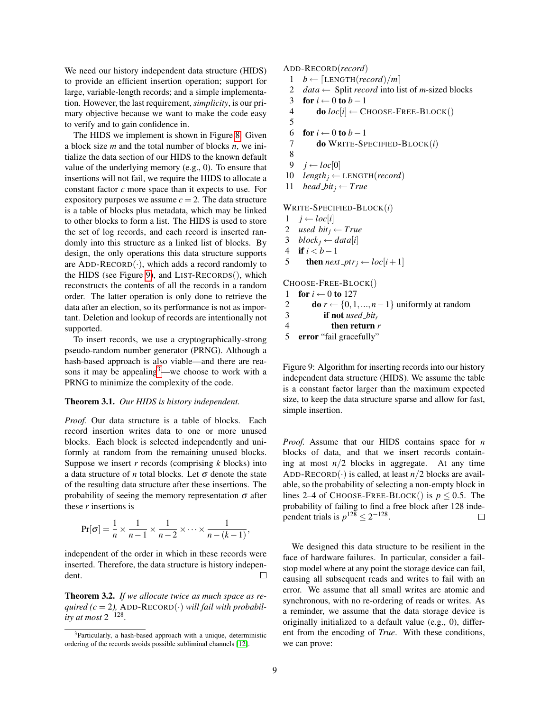We need our history independent data structure (HIDS) to provide an efficient insertion operation; support for large, variable-length records; and a simple implementation. However, the last requirement, *simplicity*, is our primary objective because we want to make the code easy to verify and to gain confidence in.

The HIDS we implement is shown in Figure [8.](#page-7-3) Given a block size *m* and the total number of blocks *n*, we initialize the data section of our HIDS to the known default value of the underlying memory (e.g., 0). To ensure that insertions will not fail, we require the HIDS to allocate a constant factor *c* more space than it expects to use. For expository purposes we assume  $c = 2$ . The data structure is a table of blocks plus metadata, which may be linked to other blocks to form a list. The HIDS is used to store the set of log records, and each record is inserted randomly into this structure as a linked list of blocks. By design, the only operations this data structure supports are  $ADD-RECORD(\cdot)$ , which adds a record randomly to the HIDS (see Figure [9\)](#page-8-0), and LIST-RECORDS(), which reconstructs the contents of all the records in a random order. The latter operation is only done to retrieve the data after an election, so its performance is not as important. Deletion and lookup of records are intentionally not supported.

To insert records, we use a cryptographically-strong pseudo-random number generator (PRNG). Although a hash-based approach is also viable—and there are rea-sons it may be appealing<sup>[3](#page-8-1)</sup>—we choose to work with a PRNG to minimize the complexity of the code.

#### Theorem 3.1. *Our HIDS is history independent.*

*Proof.* Our data structure is a table of blocks. Each record insertion writes data to one or more unused blocks. Each block is selected independently and uniformly at random from the remaining unused blocks. Suppose we insert *r* records (comprising *k* blocks) into a data structure of *n* total blocks. Let  $\sigma$  denote the state of the resulting data structure after these insertions. The probability of seeing the memory representation  $\sigma$  after these *r* insertions is

$$
\Pr[\sigma] = \frac{1}{n} \times \frac{1}{n-1} \times \frac{1}{n-2} \times \cdots \times \frac{1}{n-(k-1)},
$$

independent of the order in which in these records were inserted. Therefore, the data structure is history independent.  $\Box$ 

Theorem 3.2. *If we allocate twice as much space as required* ( $c = 2$ ), ADD-RECORD( $\cdot$ ) *will fail with probability at most* 2<sup>-128</sup>.

# ADD-RECORD(*record*)

- 1 *b* ← [LENGTH(*record*)/*m*]
- 2 *data*  $\leftarrow$  Split *record* into list of *m*-sized blocks
- 3 for  $i \leftarrow 0$  to  $b-1$
- 4 **do**  $loc[i] \leftarrow$  CHOOSE-FREE-BLOCK()
- 5
- 6 for  $i \leftarrow 0$  to  $b-1$
- 7 do WRITE-SPECIFIED-BLOCK(*i*)
- 8
- 9  $j$  ← *loc*[0]
- 10  $length_i \leftarrow$  LENGTH(*record*)
- 11 *head\_bit*<sub>*j*</sub>  $\leftarrow$  *True*

### WRITE-SPECIFIED-BLOCK(*i*)

- 1 *j* ←  $loc[i]$
- 2 *used\_bit*<sub>*j*</sub>  $\leftarrow$  *True*
- 3 *block*<sub>*j*</sub> ← *data*[*i*]
- 4 **if**  $i < b 1$
- 5 **then** *next ptr*<sub>*j*</sub>  $\leftarrow$  *loc*[*i* + 1]

CHOOSE-FREE-BLOCK()

- 1 for  $i \leftarrow 0$  to 127
- 2 **do**  $r \leftarrow \{0, 1, ..., n-1\}$  uniformly at random
- 3 if not *used bit<sup>r</sup>*
- 4 then return *r*
- 5 error "fail gracefully"

<span id="page-8-0"></span>Figure 9: Algorithm for inserting records into our history independent data structure (HIDS). We assume the table is a constant factor larger than the maximum expected size, to keep the data structure sparse and allow for fast, simple insertion.

*Proof.* Assume that our HIDS contains space for *n* blocks of data, and that we insert records containing at most  $n/2$  blocks in aggregate. At any time ADD-RECORD( $\cdot$ ) is called, at least *n*/2 blocks are available, so the probability of selecting a non-empty block in lines 2–4 of CHOOSE-FREE-BLOCK() is  $p < 0.5$ . The probability of failing to find a free block after 128 independent trials is  $p^{128} \le 2^{-128}$ .  $\Box$ 

We designed this data structure to be resilient in the face of hardware failures. In particular, consider a failstop model where at any point the storage device can fail, causing all subsequent reads and writes to fail with an error. We assume that all small writes are atomic and synchronous, with no re-ordering of reads or writes. As a reminder, we assume that the data storage device is originally initialized to a default value (e.g., 0), different from the encoding of *True*. With these conditions, we can prove:

<span id="page-8-1"></span><sup>3</sup>Particularly, a hash-based approach with a unique, deterministic ordering of the records avoids possible subliminal channels [\[12\]](#page-13-13).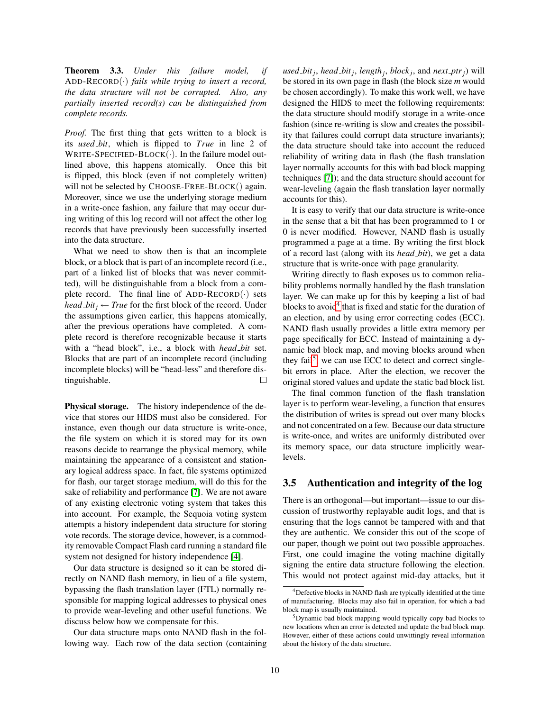Theorem 3.3. *Under this failure model, if* ADD-RECORD(·) *fails while trying to insert a record, the data structure will not be corrupted. Also, any partially inserted record(s) can be distinguished from complete records.*

*Proof.* The first thing that gets written to a block is its *used bit*, which is flipped to *True* in line 2 of WRITE-SPECIFIED-BLOCK $(\cdot)$ . In the failure model outlined above, this happens atomically. Once this bit is flipped, this block (even if not completely written) will not be selected by CHOOSE-FREE-BLOCK() again. Moreover, since we use the underlying storage medium in a write-once fashion, any failure that may occur during writing of this log record will not affect the other log records that have previously been successfully inserted into the data structure.

What we need to show then is that an incomplete block, or a block that is part of an incomplete record (i.e., part of a linked list of blocks that was never committed), will be distinguishable from a block from a complete record. The final line of ADD-RECORD $(\cdot)$  sets *head*  $bit$ *<sub>j</sub>*  $\leftarrow$  *True* for the first block of the record. Under the assumptions given earlier, this happens atomically, after the previous operations have completed. A complete record is therefore recognizable because it starts with a "head block", i.e., a block with *head bit* set. Blocks that are part of an incomplete record (including incomplete blocks) will be "head-less" and therefore distinguishable.  $\Box$ 

Physical storage. The history independence of the device that stores our HIDS must also be considered. For instance, even though our data structure is write-once, the file system on which it is stored may for its own reasons decide to rearrange the physical memory, while maintaining the appearance of a consistent and stationary logical address space. In fact, file systems optimized for flash, our target storage medium, will do this for the sake of reliability and performance [\[7\]](#page-13-18). We are not aware of any existing electronic voting system that takes this into account. For example, the Sequoia voting system attempts a history independent data structure for storing vote records. The storage device, however, is a commodity removable Compact Flash card running a standard file system not designed for history independence [\[4\]](#page-13-2).

Our data structure is designed so it can be stored directly on NAND flash memory, in lieu of a file system, bypassing the flash translation layer (FTL) normally responsible for mapping logical addresses to physical ones to provide wear-leveling and other useful functions. We discuss below how we compensate for this.

Our data structure maps onto NAND flash in the following way. Each row of the data section (containing

*used bit<sup>j</sup>* , *head bit<sup>j</sup>* , *length<sup>j</sup>* , *block <sup>j</sup>* , and *next ptr<sup>j</sup>* ) will be stored in its own page in flash (the block size *m* would be chosen accordingly). To make this work well, we have designed the HIDS to meet the following requirements: the data structure should modify storage in a write-once fashion (since re-writing is slow and creates the possibility that failures could corrupt data structure invariants); the data structure should take into account the reduced reliability of writing data in flash (the flash translation layer normally accounts for this with bad block mapping techniques [\[7\]](#page-13-18)); and the data structure should account for wear-leveling (again the flash translation layer normally accounts for this).

It is easy to verify that our data structure is write-once in the sense that a bit that has been programmed to 1 or 0 is never modified. However, NAND flash is usually programmed a page at a time. By writing the first block of a record last (along with its *head bit*), we get a data structure that is write-once with page granularity.

Writing directly to flash exposes us to common reliability problems normally handled by the flash translation layer. We can make up for this by keeping a list of bad blocks to avoid<sup>[4](#page-9-0)</sup> that is fixed and static for the duration of an election, and by using error correcting codes (ECC). NAND flash usually provides a little extra memory per page specifically for ECC. Instead of maintaining a dynamic bad block map, and moving blocks around when they fail<sup>[5](#page-9-1)</sup>, we can use ECC to detect and correct singlebit errors in place. After the election, we recover the original stored values and update the static bad block list.

The final common function of the flash translation layer is to perform wear-leveling, a function that ensures the distribution of writes is spread out over many blocks and not concentrated on a few. Because our data structure is write-once, and writes are uniformly distributed over its memory space, our data structure implicitly wearlevels.

### 3.5 Authentication and integrity of the log

There is an orthogonal—but important—issue to our discussion of trustworthy replayable audit logs, and that is ensuring that the logs cannot be tampered with and that they are authentic. We consider this out of the scope of our paper, though we point out two possible approaches. First, one could imagine the voting machine digitally signing the entire data structure following the election. This would not protect against mid-day attacks, but it

<span id="page-9-0"></span> $4$ Defective blocks in NAND flash are typically identified at the time of manufacturing. Blocks may also fail in operation, for which a bad block map is usually maintained.

<span id="page-9-1"></span><sup>&</sup>lt;sup>5</sup>Dynamic bad block mapping would typically copy bad blocks to new locations when an error is detected and update the bad block map. However, either of these actions could unwittingly reveal information about the history of the data structure.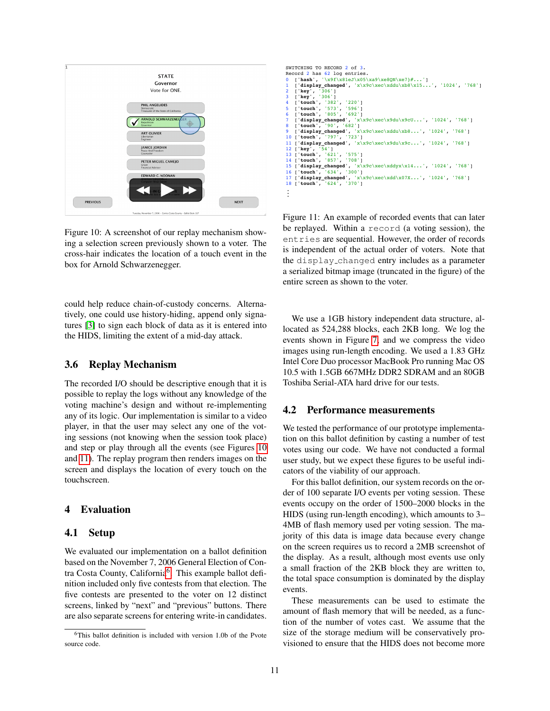

<span id="page-10-1"></span>Figure 10: A screenshot of our replay mechanism showing a selection screen previously shown to a voter. The cross-hair indicates the location of a touch event in the box for Arnold Schwarzenegger.

could help reduce chain-of-custody concerns. Alternatively, one could use history-hiding, append only signatures [\[3\]](#page-13-19) to sign each block of data as it is entered into the HIDS, limiting the extent of a mid-day attack.

### 3.6 Replay Mechanism

The recorded I/O should be descriptive enough that it is possible to replay the logs without any knowledge of the voting machine's design and without re-implementing any of its logic. Our implementation is similar to a video player, in that the user may select any one of the voting sessions (not knowing when the session took place) and step or play through all the events (see Figures [10](#page-10-1) and [11\)](#page-10-2). The replay program then renders images on the screen and displays the location of every touch on the touchscreen.

### <span id="page-10-0"></span>4 Evaluation

### 4.1 Setup

We evaluated our implementation on a ballot definition based on the November 7, 2006 General Election of Con-tra Costa County, California<sup>[6](#page-10-3)</sup>. This example ballot definition included only five contests from that election. The five contests are presented to the voter on 12 distinct screens, linked by "next" and "previous" buttons. There are also separate screens for entering write-in candidates.

```
SWITCHING TO RECORD 2 of 3
Record 2 has 62 log entries.
0 ['hash', '\x9f\x81eJ\x05\xa9\xe8QN\xe7}#...']
      display_changed', 'x\x9c\xec\xddu\xb8\x15...', '1024', '768']
2 ['key', '306']
3 ['key', '306']
      4 ['touch', '382', '220']
5 ['touch', '573', '596']
6 ['touch', '805', '692']
      display_changed', 'x\x9c\xec\x9du\x9cU...', '1024', '768']<br>'touch', '90', '682']
8 ['touch', '90', '682']
9 ['display_changed', 'x\x9c\xec\xddu\xb8...', '1024', '768']
10 ['touch', '797', '723']
11 ['display_changed', 'x\x9c\xec\x9du\x9c...', '1024', '768']
12 ['key', '54']
13 ['touch', '621', '575']
      touch', '857', '7<br>'display_changed',
                           '708']<br>1', 'x\x9c\xec\xddyx\x14...', '1024', '768']
16 ['touch', '634', '30<br>17 ['display_changed',
16 ['touch', '634', '300']<br>17 ['display_changed', 'x\x9c\xec\xdd\x07X...', '1024', '768']<br>18 ['touch', '624', '370']
     18 ['touch', '624', '370'] ...
```
<span id="page-10-2"></span>Figure 11: An example of recorded events that can later be replayed. Within a record (a voting session), the entries are sequential. However, the order of records is independent of the actual order of voters. Note that the display changed entry includes as a parameter a serialized bitmap image (truncated in the figure) of the entire screen as shown to the voter.

We use a 1GB history independent data structure, allocated as 524,288 blocks, each 2KB long. We log the events shown in Figure [7,](#page-7-2) and we compress the video images using run-length encoding. We used a 1.83 GHz Intel Core Duo processor MacBook Pro running Mac OS 10.5 with 1.5GB 667MHz DDR2 SDRAM and an 80GB Toshiba Serial-ATA hard drive for our tests.

### 4.2 Performance measurements

We tested the performance of our prototype implementation on this ballot definition by casting a number of test votes using our code. We have not conducted a formal user study, but we expect these figures to be useful indicators of the viability of our approach.

For this ballot definition, our system records on the order of 100 separate I/O events per voting session. These events occupy on the order of 1500–2000 blocks in the HIDS (using run-length encoding), which amounts to 3– 4MB of flash memory used per voting session. The majority of this data is image data because every change on the screen requires us to record a 2MB screenshot of the display. As a result, although most events use only a small fraction of the 2KB block they are written to, the total space consumption is dominated by the display events.

These measurements can be used to estimate the amount of flash memory that will be needed, as a function of the number of votes cast. We assume that the size of the storage medium will be conservatively provisioned to ensure that the HIDS does not become more

<span id="page-10-3"></span><sup>&</sup>lt;sup>6</sup>This ballot definition is included with version 1.0b of the Pvote source code.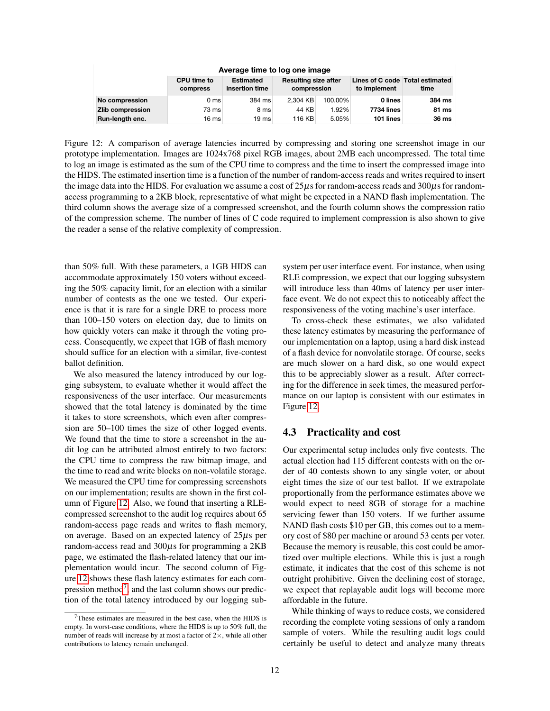|                  | <b>CPU time to</b><br><b>compress</b> | <b>Estimated</b><br>insertion time | <b>Resulting size after</b><br>compression |         | Lines of C code Total estimated<br>to implement | time   |
|------------------|---------------------------------------|------------------------------------|--------------------------------------------|---------|-------------------------------------------------|--------|
| No compression   | 0 <sub>ms</sub>                       | 384 ms                             | 2.304 KB                                   | 100.00% | 0 lines                                         | 384 ms |
| Zlib compression | 73 ms                                 | 8 ms                               | 44 KB                                      | 1.92%   | <b>7734 lines</b>                               | 81 ms  |
| Run-length enc.  | 16 ms                                 | 19 ms                              | 116 KB                                     | 5.05%   | 101 lines                                       | 36 ms  |

**Average time to log one image**

<span id="page-11-0"></span>Figure 12: A comparison of average latencies incurred by compressing and storing one screenshot image in our prototype implementation. Images are 1024x768 pixel RGB images, about 2MB each uncompressed. The total time to log an image is estimated as the sum of the CPU time to compress and the time to insert the compressed image into the HIDS. The estimated insertion time is a function of the number of random-access reads and writes required to insert the image data into the HIDS. For evaluation we assume a cost of  $25\mu s$  for random-access reads and  $300\mu s$  for randomaccess programming to a 2KB block, representative of what might be expected in a NAND flash implementation. The third column shows the average size of a compressed screenshot, and the fourth column shows the compression ratio of the compression scheme. The number of lines of C code required to implement compression is also shown to give the reader a sense of the relative complexity of compression.

than 50% full. With these parameters, a 1GB HIDS can accommodate approximately 150 voters without exceeding the 50% capacity limit, for an election with a similar number of contests as the one we tested. Our experience is that it is rare for a single DRE to process more than 100–150 voters on election day, due to limits on how quickly voters can make it through the voting process. Consequently, we expect that 1GB of flash memory should suffice for an election with a similar, five-contest ballot definition.

We also measured the latency introduced by our logging subsystem, to evaluate whether it would affect the responsiveness of the user interface. Our measurements showed that the total latency is dominated by the time it takes to store screenshots, which even after compression are 50–100 times the size of other logged events. We found that the time to store a screenshot in the audit log can be attributed almost entirely to two factors: the CPU time to compress the raw bitmap image, and the time to read and write blocks on non-volatile storage. We measured the CPU time for compressing screenshots on our implementation; results are shown in the first column of Figure [12.](#page-11-0) Also, we found that inserting a RLEcompressed screenshot to the audit log requires about 65 random-access page reads and writes to flash memory, on average. Based on an expected latency of  $25\mu s$  per random-access read and  $300\mu s$  for programming a  $2KB$ page, we estimated the flash-related latency that our implementation would incur. The second column of Figure [12](#page-11-0) shows these flash latency estimates for each com-pression method<sup>[7](#page-11-1)</sup>, and the last column shows our prediction of the total latency introduced by our logging subsystem per user interface event. For instance, when using RLE compression, we expect that our logging subsystem will introduce less than 40ms of latency per user interface event. We do not expect this to noticeably affect the responsiveness of the voting machine's user interface.

To cross-check these estimates, we also validated these latency estimates by measuring the performance of our implementation on a laptop, using a hard disk instead of a flash device for nonvolatile storage. Of course, seeks are much slower on a hard disk, so one would expect this to be appreciably slower as a result. After correcting for the difference in seek times, the measured performance on our laptop is consistent with our estimates in Figure [12.](#page-11-0)

# 4.3 Practicality and cost

Our experimental setup includes only five contests. The actual election had 115 different contests with on the order of 40 contests shown to any single voter, or about eight times the size of our test ballot. If we extrapolate proportionally from the performance estimates above we would expect to need 8GB of storage for a machine servicing fewer than 150 voters. If we further assume NAND flash costs \$10 per GB, this comes out to a memory cost of \$80 per machine or around 53 cents per voter. Because the memory is reusable, this cost could be amortized over multiple elections. While this is just a rough estimate, it indicates that the cost of this scheme is not outright prohibitive. Given the declining cost of storage, we expect that replayable audit logs will become more affordable in the future.

While thinking of ways to reduce costs, we considered recording the complete voting sessions of only a random sample of voters. While the resulting audit logs could certainly be useful to detect and analyze many threats

<span id="page-11-1"></span><sup>7</sup>These estimates are measured in the best case, when the HIDS is empty. In worst-case conditions, where the HIDS is up to 50% full, the number of reads will increase by at most a factor of  $2 \times$ , while all other contributions to latency remain unchanged.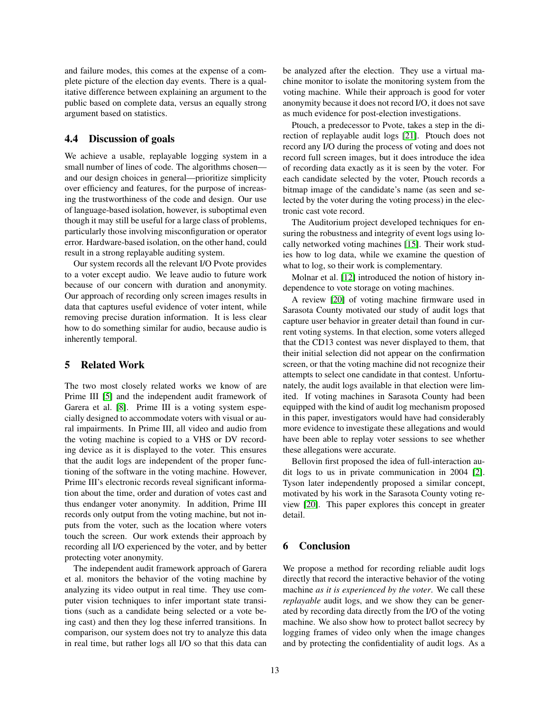and failure modes, this comes at the expense of a complete picture of the election day events. There is a qualitative difference between explaining an argument to the public based on complete data, versus an equally strong argument based on statistics.

# 4.4 Discussion of goals

We achieve a usable, replayable logging system in a small number of lines of code. The algorithms chosen and our design choices in general—prioritize simplicity over efficiency and features, for the purpose of increasing the trustworthiness of the code and design. Our use of language-based isolation, however, is suboptimal even though it may still be useful for a large class of problems, particularly those involving misconfiguration or operator error. Hardware-based isolation, on the other hand, could result in a strong replayable auditing system.

Our system records all the relevant I/O Pvote provides to a voter except audio. We leave audio to future work because of our concern with duration and anonymity. Our approach of recording only screen images results in data that captures useful evidence of voter intent, while removing precise duration information. It is less clear how to do something similar for audio, because audio is inherently temporal.

# <span id="page-12-0"></span>5 Related Work

The two most closely related works we know of are Prime III [\[5\]](#page-13-7) and the independent audit framework of Garera et al. [\[8\]](#page-13-9). Prime III is a voting system especially designed to accommodate voters with visual or aural impairments. In Prime III, all video and audio from the voting machine is copied to a VHS or DV recording device as it is displayed to the voter. This ensures that the audit logs are independent of the proper functioning of the software in the voting machine. However, Prime III's electronic records reveal significant information about the time, order and duration of votes cast and thus endanger voter anonymity. In addition, Prime III records only output from the voting machine, but not inputs from the voter, such as the location where voters touch the screen. Our work extends their approach by recording all I/O experienced by the voter, and by better protecting voter anonymity.

The independent audit framework approach of Garera et al. monitors the behavior of the voting machine by analyzing its video output in real time. They use computer vision techniques to infer important state transitions (such as a candidate being selected or a vote being cast) and then they log these inferred transitions. In comparison, our system does not try to analyze this data in real time, but rather logs all I/O so that this data can be analyzed after the election. They use a virtual machine monitor to isolate the monitoring system from the voting machine. While their approach is good for voter anonymity because it does not record I/O, it does not save as much evidence for post-election investigations.

Ptouch, a predecessor to Pvote, takes a step in the direction of replayable audit logs [\[21\]](#page-13-14). Ptouch does not record any I/O during the process of voting and does not record full screen images, but it does introduce the idea of recording data exactly as it is seen by the voter. For each candidate selected by the voter, Ptouch records a bitmap image of the candidate's name (as seen and selected by the voter during the voting process) in the electronic cast vote record.

The Auditorium project developed techniques for ensuring the robustness and integrity of event logs using locally networked voting machines [\[15\]](#page-13-20). Their work studies how to log data, while we examine the question of what to log, so their work is complementary.

Molnar et al. [\[12\]](#page-13-13) introduced the notion of history independence to vote storage on voting machines.

A review [\[20\]](#page-13-0) of voting machine firmware used in Sarasota County motivated our study of audit logs that capture user behavior in greater detail than found in current voting systems. In that election, some voters alleged that the CD13 contest was never displayed to them, that their initial selection did not appear on the confirmation screen, or that the voting machine did not recognize their attempts to select one candidate in that contest. Unfortunately, the audit logs available in that election were limited. If voting machines in Sarasota County had been equipped with the kind of audit log mechanism proposed in this paper, investigators would have had considerably more evidence to investigate these allegations and would have been able to replay voter sessions to see whether these allegations were accurate.

Bellovin first proposed the idea of full-interaction audit logs to us in private communication in 2004 [\[2\]](#page-13-21). Tyson later independently proposed a similar concept, motivated by his work in the Sarasota County voting review [\[20\]](#page-13-0). This paper explores this concept in greater detail.

# 6 Conclusion

We propose a method for recording reliable audit logs directly that record the interactive behavior of the voting machine *as it is experienced by the voter*. We call these *replayable* audit logs, and we show they can be generated by recording data directly from the I/O of the voting machine. We also show how to protect ballot secrecy by logging frames of video only when the image changes and by protecting the confidentiality of audit logs. As a